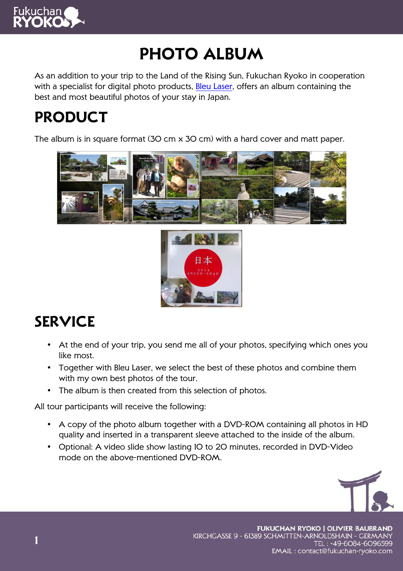

# **Photo album**

As an addition to your trip to the Land of the Rising Sun, Fukuchan Ryoko in cooperation with a specialist for digital photo products, Bleu Laser, offers an album containing the best and most beautiful photos of your stay in Japan.

## **Product**

The album is in square format (30 cm x 30 cm) with a hard cover and matt paper.





# **Service**

- At the end of your trip, you send me all of your photos, specifying which ones you like most.
- Together with Bleu Laser, we select the best of these photos and combine them with my own best photos of the tour.
- The album is then created from this selection of photos.

All tour participants will receive the following:

- A copy of the photo album together with a DVD-ROM containing all photos in HD quality and inserted in a transparent sleeve attached to the inside of the album.
- Optional: A video slide show lasting 10 to 20 minutes, recorded in DVD-Video mode on the above-mentioned DVD-ROM.



**FUKUCHAN RYOKO | OLIVIER BAUBRAND** KIRCHGASSE 9 - 61389 SCHMITTEN-ARNOLDSHAIN - GERMANY TEL: +49-6084-6096599 EMAIL: contact@fukuchan-ryoko.com